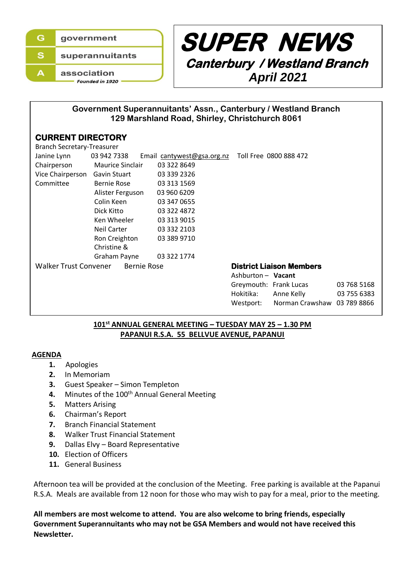



Hokitika: Anne Kelly 03 755 6383

## **Government Superannuitants' Assn., Canterbury / Westland Branch 129 Marshland Road, Shirley, Christchurch 8061**

# **CURRENT DIRECTORY**

| <b>Branch Secretary-Treasurer</b>                  |                         |                            |                                 |             |
|----------------------------------------------------|-------------------------|----------------------------|---------------------------------|-------------|
| Janine Lynn                                        | 03 942 7338             | Email cantywest@gsa.org.nz | Toll Free 0800 888 472          |             |
| Chairperson                                        | <b>Maurice Sinclair</b> | 03 322 8649                |                                 |             |
| Vice Chairperson                                   | Gavin Stuart            | 03 339 2326                |                                 |             |
| Committee                                          | Bernie Rose             | 03 313 1569                |                                 |             |
|                                                    | Alister Ferguson        | 03 960 6209                |                                 |             |
|                                                    | Colin Keen              | 03 347 0655                |                                 |             |
|                                                    | Dick Kitto              | 03 322 4872                |                                 |             |
|                                                    | Ken Wheeler             | 03 313 9015                |                                 |             |
|                                                    | Neil Carter             | 03 332 2103                |                                 |             |
|                                                    | Ron Creighton           | 03 389 9710                |                                 |             |
|                                                    | Christine &             |                            |                                 |             |
|                                                    | Graham Payne            | 03 322 1774                |                                 |             |
| <b>Walker Trust Convener</b><br><b>Bernie Rose</b> |                         |                            | <b>District Liaison Members</b> |             |
|                                                    |                         |                            | Ashburton - Vacant              |             |
|                                                    |                         |                            | Greymouth: Frank Lucas          | 03 768 5168 |

# **101st ANNUAL GENERAL MEETING – TUESDAY MAY 25 – 1.30 PM** Westport: Norman Crawshaw 03 789 8866

# **PAPANUI R.S.A. 55 BELLVUE AVENUE, PAPANUI**

#### **AGENDA**

 $\overline{a}$ 

- **1.** Apologies
- **2.** In Memoriam
- **3.** Guest Speaker Simon Templeton
- 4. Minutes of the 100<sup>th</sup> Annual General Meeting
- **5.** Matters Arising
- **6.** Chairman's Report
- **7.** Branch Financial Statement
- **8.** Walker Trust Financial Statement
- **9.** Dallas Elvy Board Representative
- **10.** Election of Officers
- **11.** General Business

Afternoon tea will be provided at the conclusion of the Meeting. Free parking is available at the Papanui R.S.A. Meals are available from 12 noon for those who may wish to pay for a meal, prior to the meeting.

 **All members are most welcome to attend. You are also welcome to bring friends, especially Government Superannuitants who may not be GSA Members and would not have received this Newsletter.**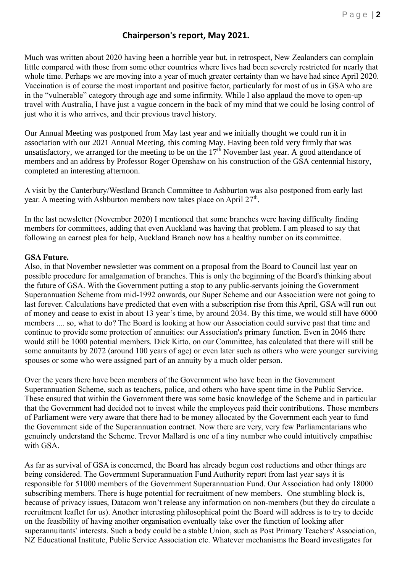# **Chairperson's report, May 2021.**

Much was written about 2020 having been a horrible year but, in retrospect, New Zealanders can complain little compared with those from some other countries where lives had been severely restricted for nearly that whole time. Perhaps we are moving into a year of much greater certainty than we have had since April 2020. Vaccination is of course the most important and positive factor, particularly for most of us in GSA who are in the "vulnerable" category through age and some infirmity. While I also applaud the move to open-up travel with Australia, I have just a vague concern in the back of my mind that we could be losing control of just who it is who arrives, and their previous travel history.

Our Annual Meeting was postponed from May last year and we initially thought we could run it in association with our 2021 Annual Meeting, this coming May. Having been told very firmly that was unsatisfactory, we arranged for the meeting to be on the  $17<sup>th</sup>$  November last year. A good attendance of members and an address by Professor Roger Openshaw on his construction of the GSA centennial history, completed an interesting afternoon.

A visit by the Canterbury/Westland Branch Committee to Ashburton was also postponed from early last year. A meeting with Ashburton members now takes place on April 27<sup>th</sup>.

In the last newsletter (November 2020) I mentioned that some branches were having difficulty finding members for committees, adding that even Auckland was having that problem. I am pleased to say that following an earnest plea for help, Auckland Branch now has a healthy number on its committee.

#### **GSA Future.**

Also, in that November newsletter was comment on a proposal from the Board to Council last year on possible procedure for amalgamation of branches. This is only the beginning of the Board's thinking about the future of GSA. With the Government putting a stop to any public-servants joining the Government Superannuation Scheme from mid-1992 onwards, our Super Scheme and our Association were not going to last forever. Calculations have predicted that even with a subscription rise from this April, GSA will run out of money and cease to exist in about 13 year's time, by around 2034. By this time, we would still have 6000 members .... so, what to do? The Board is looking at how our Association could survive past that time and continue to provide some protection of annuities: our Association's primary function. Even in 2046 there would still be 1000 potential members. Dick Kitto, on our Committee, has calculated that there will still be some annuitants by 2072 (around 100 years of age) or even later such as others who were younger surviving spouses or some who were assigned part of an annuity by a much older person.

Over the years there have been members of the Government who have been in the Government Superannuation Scheme, such as teachers, police, and others who have spent time in the Public Service. These ensured that within the Government there was some basic knowledge of the Scheme and in particular that the Government had decided not to invest while the employees paid their contributions. Those members of Parliament were very aware that there had to be money allocated by the Government each year to fund the Government side of the Superannuation contract. Now there are very, very few Parliamentarians who genuinely understand the Scheme. Trevor Mallard is one of a tiny number who could intuitively empathise with GSA.

As far as survival of GSA is concerned, the Board has already begun cost reductions and other things are being considered. The Government Superannuation Fund Authority report from last year says it is responsible for 51000 members of the Government Superannuation Fund. Our Association had only 18000 subscribing members. There is huge potential for recruitment of new members. One stumbling block is, because of privacy issues, Datacom won't release any information on non-members (but they do circulate a recruitment leaflet for us). Another interesting philosophical point the Board will address is to try to decide on the feasibility of having another organisation eventually take over the function of looking after superannuitants' interests. Such a body could be a stable Union, such as Post Primary Teachers' Association, NZ Educational Institute, Public Service Association etc. Whatever mechanisms the Board investigates for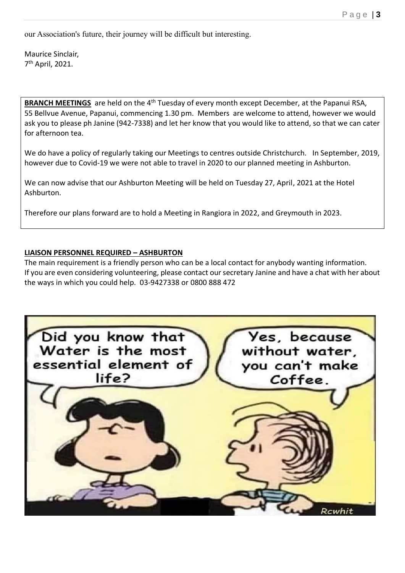our Association's future, their journey will be difficult but interesting.

Maurice Sinclair, 7 th April, 2021.

**BRANCH MEETINGS** are held on the 4<sup>th</sup> Tuesday of every month except December, at the Papanui RSA, 55 Bellvue Avenue, Papanui, commencing 1.30 pm. Members are welcome to attend, however we would ask you to please ph Janine (942-7338) and let her know that you would like to attend, so that we can cater for afternoon tea.

We do have a policy of regularly taking our Meetings to centres outside Christchurch. In September, 2019, however due to Covid-19 we were not able to travel in 2020 to our planned meeting in Ashburton.

We can now advise that our Ashburton Meeting will be held on Tuesday 27, April, 2021 at the Hotel Ashburton.

Therefore our plans forward are to hold a Meeting in Rangiora in 2022, and Greymouth in 2023.

### **LIAISON PERSONNEL REQUIRED – ASHBURTON**

The main requirement is a friendly person who can be a local contact for anybody wanting information. If you are even considering volunteering, please contact our secretary Janine and have a chat with her about the ways in which you could help. 03-9427338 or 0800 888 472

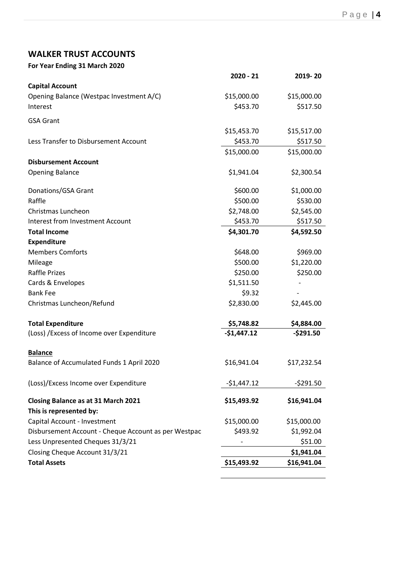# **WALKER TRUST ACCOUNTS**

| For Year Ending 31 March 2020                        |              |             |
|------------------------------------------------------|--------------|-------------|
|                                                      | $2020 - 21$  | 2019-20     |
| <b>Capital Account</b>                               |              |             |
| Opening Balance (Westpac Investment A/C)             | \$15,000.00  | \$15,000.00 |
| Interest                                             | \$453.70     | \$517.50    |
| <b>GSA Grant</b>                                     |              |             |
|                                                      | \$15,453.70  | \$15,517.00 |
| Less Transfer to Disbursement Account                | \$453.70     | \$517.50    |
|                                                      | \$15,000.00  | \$15,000.00 |
| <b>Disbursement Account</b>                          |              |             |
| <b>Opening Balance</b>                               | \$1,941.04   | \$2,300.54  |
|                                                      |              |             |
| Donations/GSA Grant                                  | \$600.00     | \$1,000.00  |
| Raffle                                               | \$500.00     | \$530.00    |
| Christmas Luncheon                                   | \$2,748.00   | \$2,545.00  |
| Interest from Investment Account                     | \$453.70     | \$517.50    |
| <b>Total Income</b>                                  | \$4,301.70   | \$4,592.50  |
| <b>Expenditure</b>                                   |              |             |
| <b>Members Comforts</b>                              | \$648.00     | \$969.00    |
| Mileage                                              | \$500.00     | \$1,220.00  |
| <b>Raffle Prizes</b>                                 | \$250.00     | \$250.00    |
| Cards & Envelopes                                    | \$1,511.50   |             |
| <b>Bank Fee</b>                                      | \$9.32       |             |
| Christmas Luncheon/Refund                            | \$2,830.00   | \$2,445.00  |
| <b>Total Expenditure</b>                             | \$5,748.82   | \$4,884.00  |
| (Loss) / Excess of Income over Expenditure           | $-$1,447.12$ | $-5291.50$  |
|                                                      |              |             |
| <b>Balance</b>                                       |              |             |
| Balance of Accumulated Funds 1 April 2020            | \$16,941.04  | \$17,232.54 |
|                                                      |              |             |
| (Loss)/Excess Income over Expenditure                | $-$1,447.12$ | -\$291.50   |
| Closing Balance as at 31 March 2021                  | \$15,493.92  | \$16,941.04 |
| This is represented by:                              |              |             |
| Capital Account - Investment                         | \$15,000.00  | \$15,000.00 |
| Disbursement Account - Cheque Account as per Westpac | \$493.92     | \$1,992.04  |
| Less Unpresented Cheques 31/3/21                     |              | \$51.00     |
| Closing Cheque Account 31/3/21                       |              | \$1,941.04  |
| <b>Total Assets</b>                                  | \$15,493.92  | \$16,941.04 |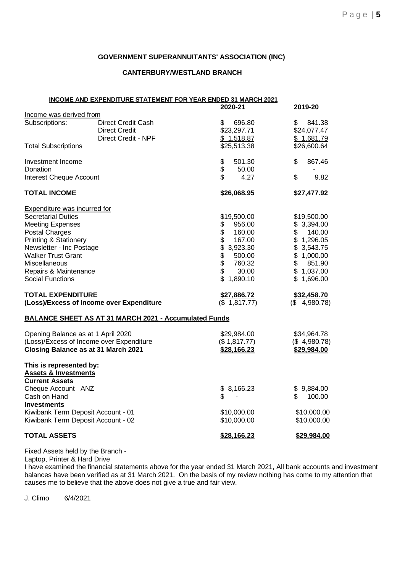#### **GOVERNMENT SUPERANNUITANTS' ASSOCIATION (INC)**

#### **CANTERBURY/WESTLAND BRANCH**

| INCOME AND EXPENDITURE STATEMENT FOR YEAR ENDED 31 MARCH 2021 |                      |                 |  |  |  |  |
|---------------------------------------------------------------|----------------------|-----------------|--|--|--|--|
|                                                               | 2020-21              | 2019-20         |  |  |  |  |
| Income was derived from                                       |                      |                 |  |  |  |  |
| Subscriptions:<br><b>Direct Credit Cash</b>                   | \$<br>696.80         | \$<br>841.38    |  |  |  |  |
| <b>Direct Credit</b>                                          | \$23,297.71          | \$24,077.47     |  |  |  |  |
| Direct Credit - NPF                                           | \$1,518.87           | \$1,681.79      |  |  |  |  |
| <b>Total Subscriptions</b>                                    | \$25,513.38          | \$26,600.64     |  |  |  |  |
| Investment Income                                             | \$<br>501.30         | 867.46<br>\$    |  |  |  |  |
| Donation                                                      | $\ddot{\$}$<br>50.00 |                 |  |  |  |  |
| <b>Interest Cheque Account</b>                                | \$<br>4.27           | \$<br>9.82      |  |  |  |  |
| <b>TOTAL INCOME</b>                                           | \$26,068.95          | \$27,477.92     |  |  |  |  |
| <b>Expenditure was incurred for</b>                           |                      |                 |  |  |  |  |
| <b>Secretarial Duties</b>                                     | \$19,500.00          | \$19,500.00     |  |  |  |  |
| <b>Meeting Expenses</b>                                       | \$<br>956.00         | \$3,394.00      |  |  |  |  |
| <b>Postal Charges</b>                                         | \$<br>160.00         | \$<br>140.00    |  |  |  |  |
| <b>Printing &amp; Stationery</b>                              | \$<br>167.00         | \$1,296.05      |  |  |  |  |
| Newsletter - Inc Postage                                      | \$3,923.30           | \$3,543.75      |  |  |  |  |
| <b>Walker Trust Grant</b>                                     | \$<br>500.00         | \$1,000.00      |  |  |  |  |
| Miscellaneous                                                 | 760.32               | \$<br>851.90    |  |  |  |  |
| Repairs & Maintenance                                         | \$<br>30.00          | \$1,037.00      |  |  |  |  |
| Social Functions                                              | \$<br>1,890.10       | \$1,696.00      |  |  |  |  |
| <b>TOTAL EXPENDITURE</b>                                      | \$27,886.72          | \$32,458.70     |  |  |  |  |
| (Loss)/Excess of Income over Expenditure                      | (\$1,817.77)         | $($ \$4,980.78) |  |  |  |  |
| <b>BALANCE SHEET AS AT 31 MARCH 2021 - Accumulated Funds</b>  |                      |                 |  |  |  |  |
| Opening Balance as at 1 April 2020                            | \$29,984.00          | \$34,964.78     |  |  |  |  |
| (Loss)/Excess of Income over Expenditure                      | (\$1,817.77)         | (\$4,980.78)    |  |  |  |  |
| <b>Closing Balance as at 31 March 2021</b>                    | \$28,166.23          | \$29,984.00     |  |  |  |  |
| This is represented by:                                       |                      |                 |  |  |  |  |
| <b>Assets &amp; Investments</b>                               |                      |                 |  |  |  |  |
| <b>Current Assets</b>                                         |                      |                 |  |  |  |  |
| Cheque Account ANZ                                            | \$8,166.23           | \$9,884.00      |  |  |  |  |
| Cash on Hand                                                  | \$                   | \$<br>100.00    |  |  |  |  |
| <b>Investments</b>                                            |                      |                 |  |  |  |  |
| Kiwibank Term Deposit Account - 01                            | \$10,000.00          | \$10,000.00     |  |  |  |  |
| Kiwibank Term Deposit Account - 02                            | \$10,000.00          | \$10,000.00     |  |  |  |  |
| <b>TOTAL ASSETS</b>                                           | \$28,166.23          | \$29,984.00     |  |  |  |  |

Fixed Assets held by the Branch -

Laptop, Printer & Hard Drive

I have examined the financial statements above for the year ended 31 March 2021, All bank accounts and investment balances have been verified as at 31 March 2021. On the basis of my review nothing has come to my attention that causes me to believe that the above does not give a true and fair view.

J. Climo 6/4/2021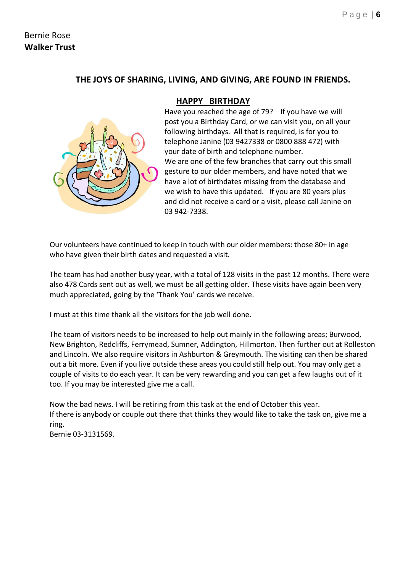# Bernie Rose **Walker Trust**

# **THE JOYS OF SHARING, LIVING, AND GIVING, ARE FOUND IN FRIENDS.**



# **HAPPY BIRTHDAY**

Have you reached the age of 79? If you have we will post you a Birthday Card, or we can visit you, on all your following birthdays. All that is required, is for you to telephone Janine (03 9427338 or 0800 888 472) with your date of birth and telephone number. We are one of the few branches that carry out this small gesture to our older members, and have noted that we have a lot of birthdates missing from the database and we wish to have this updated. If you are 80 years plus and did not receive a card or a visit, please call Janine on 03 942-7338.

Our volunteers have continued to keep in touch with our older members: those 80+ in age who have given their birth dates and requested a visit.

The team has had another busy year, with a total of 128 visits in the past 12 months. There were also 478 Cards sent out as well, we must be all getting older. These visits have again been very much appreciated, going by the 'Thank You' cards we receive.

I must at this time thank all the visitors for the job well done.

The team of visitors needs to be increased to help out mainly in the following areas; Burwood, New Brighton, Redcliffs, Ferrymead, Sumner, Addington, Hillmorton. Then further out at Rolleston and Lincoln. We also require visitors in Ashburton & Greymouth. The visiting can then be shared out a bit more. Even if you live outside these areas you could still help out. You may only get a couple of visits to do each year. It can be very rewarding and you can get a few laughs out of it too. If you may be interested give me a call.

Now the bad news. I will be retiring from this task at the end of October this year. If there is anybody or couple out there that thinks they would like to take the task on, give me a ring.

Bernie 03-3131569.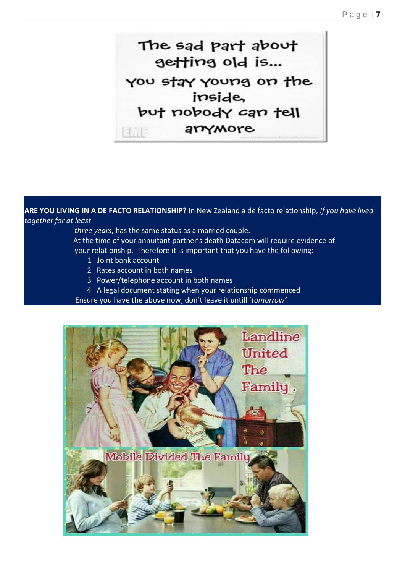The sad part about getting old is... you stay young on the inside, but nobody can tell arrymore

**ARE YOU LIVING IN A DE FACTO RELATIONSHIP?** In New Zealand a de facto relationship, *if you have lived together for at least*

> *three years*, has the same status as a married couple. At the time of your annuitant partner's death Datacom will require evidence of your relationship. Therefore it is important that you have the following:

- 1 Joint bank account
- 2 Rates account in both names
- 3 Power/telephone account in both names
- 4 A legal document stating when your relationship commenced

Ensure you have the above now, don't leave it untill '*tomorrow'*